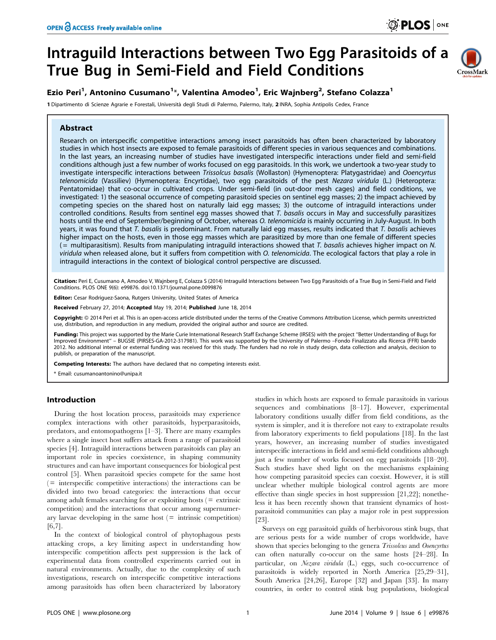# Intraguild Interactions between Two Egg Parasitoids of a True Bug in Semi-Field and Field Conditions



## Ezio Peri<sup>1</sup>, Antonino Cusumano<sup>1</sup>\*, Valentina Amodeo<sup>1</sup>, Eric Wajnberg<sup>2</sup>, Stefano Colazza<sup>1</sup>

1 Dipartimento di Scienze Agrarie e Forestali, Università degli Studi di Palermo, Palermo, Italy, 2 INRA, Sophia Antipolis Cedex, France

## Abstract

Research on interspecific competitive interactions among insect parasitoids has often been characterized by laboratory studies in which host insects are exposed to female parasitoids of different species in various sequences and combinations. In the last years, an increasing number of studies have investigated interspecific interactions under field and semi-field conditions although just a few number of works focused on egg parasitoids. In this work, we undertook a two-year study to investigate interspecific interactions between Trissolcus basalis (Wollaston) (Hymenoptera: Platygastridae) and Ooencyrtus telenomicida (Vassiliev) (Hymenoptera: Encyrtidae), two egg parasitoids of the pest Nezara viridula (L.) (Heteroptera: Pentatomidae) that co-occur in cultivated crops. Under semi-field (in out-door mesh cages) and field conditions, we investigated: 1) the seasonal occurrence of competing parasitoid species on sentinel egg masses; 2) the impact achieved by competing species on the shared host on naturally laid egg masses; 3) the outcome of intraguild interactions under controlled conditions. Results from sentinel egg masses showed that T. basalis occurs in May and successfully parasitizes hosts until the end of September/beginning of October, whereas O. telenomicida is mainly occurring in July-August. In both years, it was found that T. basalis is predominant. From naturally laid egg masses, results indicated that T. basalis achieves higher impact on the hosts, even in those egg masses which are parasitized by more than one female of different species  $($  = multiparasitism). Results from manipulating intraguild interactions showed that T. basalis achieves higher impact on N. viridula when released alone, but it suffers from competition with O. telenomicida. The ecological factors that play a role in intraguild interactions in the context of biological control perspective are discussed.

Citation: Peri E, Cusumano A, Amodeo V, Wajnberg E, Colazza S (2014) Intraguild Interactions between Two Egg Parasitoids of a True Bug in Semi-Field and Field Conditions. PLOS ONE 9(6): e99876. doi:10.1371/journal.pone.0099876

Editor: Cesar Rodriguez-Saona, Rutgers University, United States of America

Received February 27, 2014; Accepted May 19, 2014; Published June 18, 2014

Copyright: © 2014 Peri et al. This is an open-access article distributed under the terms of the [Creative Commons Attribution License,](http://creativecommons.org/licenses/by/4.0/) which permits unrestricted use, distribution, and reproduction in any medium, provided the original author and source are credited.

Funding: This project was supported by the Marie Curie International Research Staff Exchange Scheme (IRSES) with the project "Better Understanding of Bugs for Improved Environment'' – BUGSIE (PIRSES-GA-2012-317981). This work was supported by the University of Palermo –Fondo Finalizzato alla Ricerca (FFR) bando 2012. No additional internal or external funding was received for this study. The funders had no role in study design, data collection and analysis, decision to publish, or preparation of the manuscript.

Competing Interests: The authors have declared that no competing interests exist.

\* Email: cusumanoantonino@unipa.it

## Introduction

During the host location process, parasitoids may experience complex interactions with other parasitoids, hyperparasitoids, predators, and entomopathogens [1–3]. There are many examples where a single insect host suffers attack from a range of parasitoid species [4]. Intraguild interactions between parasitoids can play an important role in species coexistence, in shaping community structures and can have important consequences for biological pest control [5]. When parasitoid species compete for the same host  $($  = interspecific competitive interactions) the interactions can be divided into two broad categories: the interactions that occur among adult females searching for or exploiting hosts  $($  =  $ext{ extrinsic}$ competition) and the interactions that occur among supernumerary larvae developing in the same host  $($  = intrinsic competition) [6,7].

In the context of biological control of phytophagous pests attacking crops, a key limiting aspect in understanding how interspecific competition affects pest suppression is the lack of experimental data from controlled experiments carried out in natural environments. Actually, due to the complexity of such investigations, research on interspecific competitive interactions among parasitoids has often been characterized by laboratory

studies in which hosts are exposed to female parasitoids in various sequences and combinations [8–17]. However, experimental laboratory conditions usually differ from field conditions, as the system is simpler, and it is therefore not easy to extrapolate results from laboratory experiments to field populations [18]. In the last years, however, an increasing number of studies investigated interspecific interactions in field and semi-field conditions although just a few number of works focused on egg parasitoids [18–20]. Such studies have shed light on the mechanisms explaining how competing parasitoid species can coexist. However, it is still unclear whether multiple biological control agents are more effective than single species in host suppression [21,22]; nonetheless it has been recently shown that transient dynamics of hostparasitoid communities can play a major role in pest suppression [23].

Surveys on egg parasitoid guilds of herbivorous stink bugs, that are serious pests for a wide number of crops worldwide, have shown that species belonging to the genera *Trissolcus* and *Ooencyrtus* can often naturally co-occur on the same hosts [24–28]. In particular, on Nezara viridula (L.) eggs, such co-occurrence of parasitoids is widely reported in North America [25,29–31], South America [24,26], Europe [32] and Japan [33]. In many countries, in order to control stink bug populations, biological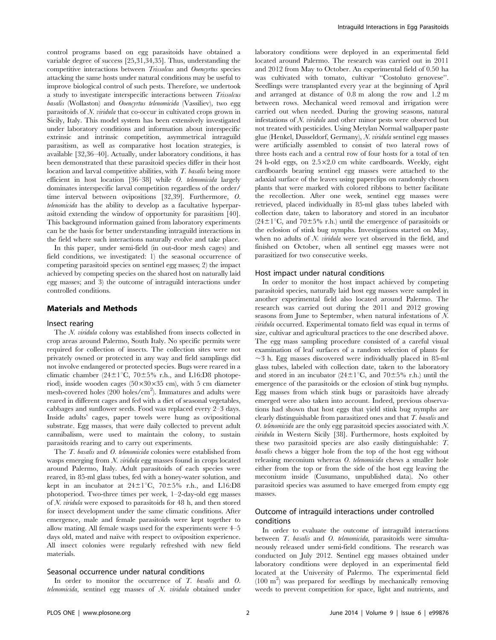control programs based on egg parasitoids have obtained a variable degree of success [25,31,34,35]. Thus, understanding the competitive interactions between Trissolcus and Ooencyrtus species attacking the same hosts under natural conditions may be useful to improve biological control of such pests. Therefore, we undertook a study to investigate interspecific interactions between Trissolcus basalis (Wollaston) and Ooencyrtus telenomicida (Vassiliev), two egg parasitoids of  $N$ . *viridula* that co-occur in cultivated crops grown in Sicily, Italy. This model system has been extensively investigated under laboratory conditions and information about interspecific extrinsic and intrinsic competition, asymmetrical intraguild parasitism, as well as comparative host location strategies, is available [32,36–40]. Actually, under laboratory conditions, it has been demonstrated that these parasitoid species differ in their host location and larval competitive abilities, with T. basalis being more efficient in host location [36–38] while O. telenomicida largely dominates interspecific larval competition regardless of the order/ time interval between ovipositions [32,39]. Furthermore, O. telenomicida has the ability to develop as a facultative hyperparasitoid extending the window of opportunity for parasitism [40]. This background information gained from laboratory experiments can be the basis for better understanding intraguild interactions in the field where such interactions naturally evolve and take place.

In this paper, under semi-field (in out-door mesh cages) and field conditions, we investigated: 1) the seasonal occurrence of competing parasitoid species on sentinel egg masses; 2) the impact achieved by competing species on the shared host on naturally laid egg masses; and 3) the outcome of intraguild interactions under controlled conditions.

#### Materials and Methods

#### Insect rearing

The N. viridula colony was established from insects collected in crop areas around Palermo, South Italy. No specific permits were required for collection of insects. The collection sites were not privately owned or protected in any way and field samplings did not involve endangered or protected species. Bugs were reared in a climatic chamber (24 $\pm$ 1°C, 70 $\pm$ 5% r.h., and L16:D8 photoperiod), inside wooden cages  $(50\times30\times35$  cm), with 5 cm diameter mesh-covered holes (200 holes/cm<sup>2</sup>). Immatures and adults were reared in different cages and fed with a diet of seasonal vegetables, cabbages and sunflower seeds. Food was replaced every 2–3 days. Inside adults' cages, paper towels were hung as ovipositional substrate. Egg masses, that were daily collected to prevent adult cannibalism, were used to maintain the colony, to sustain parasitoids rearing and to carry out experiments.

The *T. basalis* and *O. telenomicida* colonies were established from wasps emerging from N. viridula egg masses found in crops located around Palermo, Italy. Adult parasitoids of each species were reared, in 85-ml glass tubes, fed with a honey-water solution, and kept in an incubator at  $24\pm1^{\circ}C$ ,  $70\pm5\%$  r.h., and L16:D8 photoperiod. Two-three times per week, 1–2-day-old egg masses of N. viridula were exposed to parasitoids for 48 h, and then stored for insect development under the same climatic conditions. After emergence, male and female parasitoids were kept together to allow mating. All female wasps used for the experiments were 4–5 days old, mated and naïve with respect to oviposition experience. All insect colonies were regularly refreshed with new field materials.

#### Seasonal occurrence under natural conditions

In order to monitor the occurrence of T. basalis and O. telenomicida, sentinel egg masses of N. viridula obtained under laboratory conditions were deployed in an experimental field located around Palermo. The research was carried out in 2011 and 2012 from May to October. An experimental field of 0.50 ha was cultivated with tomato, cultivar ''Costoluto genovese''. Seedlings were transplanted every year at the beginning of April and arranged at distance of 0.8 m along the row and 1.2 m between rows. Mechanical weed removal and irrigation were carried out when needed. During the growing seasons, natural infestations of N. viridula and other minor pests were observed but not treated with pesticides. Using Metylan Normal wallpaper paste glue (Henkel, Dusseldorf, Germany), N. viridula sentinel egg masses were artificially assembled to consist of two lateral rows of three hosts each and a central row of four hosts for a total of ten 24 h-old eggs, on  $2.5 \times 2.0$  cm white cardboards. Weekly, eight cardboards bearing sentinel egg masses were attached to the adaxial surface of the leaves using paperclips on randomly chosen plants that were marked with colored ribbons to better facilitate the recollection. After one week, sentinel egg masses were retrieved, placed individually in 85-ml glass tubes labeled with collection date, taken to laboratory and stored in an incubator  $(24\pm1\degree C,$  and  $70\pm5\%$  r.h.) until the emergence of parasitoids or the eclosion of stink bug nymphs. Investigations started on May, when no adults of  $N$ . *viridula* were yet observed in the field, and finished on October, when all sentinel egg masses were not parasitized for two consecutive weeks.

#### Host impact under natural conditions

In order to monitor the host impact achieved by competing parasitoid species, naturally laid host egg masses were sampled in another experimental field also located around Palermo. The research was carried out during the 2011 and 2012 growing seasons from June to September, when natural infestations of N. viridula occurred. Experimental tomato field was equal in terms of size, cultivar and agricultural practices to the one described above. The egg mass sampling procedure consisted of a careful visual examination of leaf surfaces of a random selection of plants for  $\sim$ 3 h. Egg masses discovered were individually placed in 85-ml glass tubes, labeled with collection date, taken to the laboratory and stored in an incubator  $(24\pm1^{\circ}\text{C}, \text{ and } 70\pm5\% \text{ r.h.})$  until the emergence of the parasitoids or the eclosion of stink bug nymphs. Egg masses from which stink bugs or parasitoids have already emerged were also taken into account. Indeed, previous observations had shown that host eggs that yield stink bug nymphs are clearly distinguishable from parasitized ones and that T. basalis and O. telenomicida are the only egg parasitoid species associated with N. viridula in Western Sicily [38]. Furthermore, hosts exploited by these two parasitoid species are also easily distinguishable: T. basalis chews a bigger hole from the top of the host egg without releasing meconium whereas O. telenomicida chews a smaller hole either from the top or from the side of the host egg leaving the meconium inside (Cusumano, unpublished data). No other parasitoid species was assumed to have emerged from empty egg masses.

## Outcome of intraguild interactions under controlled conditions

In order to evaluate the outcome of intraguild interactions between *T. basalis* and *O. telenomicida*, parasitoids were simultaneously released under semi-field conditions. The research was conducted on July 2012. Sentinel egg masses obtained under laboratory conditions were deployed in an experimental field located at the University of Palermo. The experimental field (100 m<sup>2</sup>) was prepared for seedlings by mechanically removing weeds to prevent competition for space, light and nutrients, and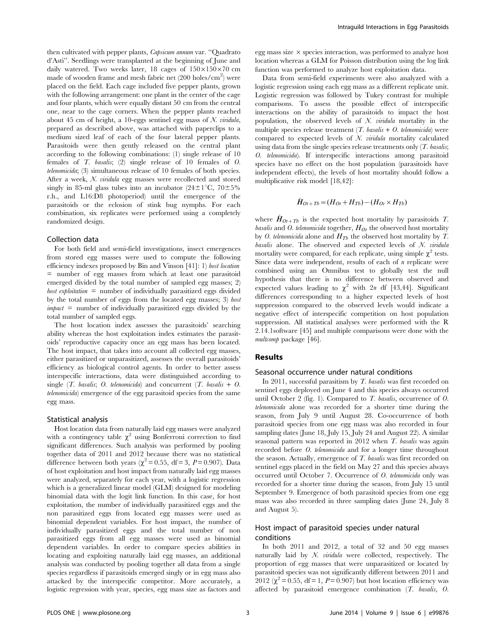then cultivated with pepper plants, Capsicum annum var. ''Quadrato d'Asti''. Seedlings were transplanted at the beginning of June and daily watered. Two weeks later, 18 cages of  $150\times150\times70$  cm made of wooden frame and mesh fabric net  $(200 \text{ holes/cm}^2)$  were placed on the field. Each cage included five pepper plants, grown with the following arrangement: one plant in the center of the cage and four plants, which were equally distant 50 cm from the central one, near to the cage corners. When the pepper plants reached about 45 cm of height, a 10-eggs sentinel egg mass of  $N$ . viridula, prepared as described above, was attached with paperclips to a medium sized leaf of each of the four lateral pepper plants. Parasitoids were then gently released on the central plant according to the following combinations: (1) single release of 10 females of T. basalis; (2) single release of 10 females of O. telenomicida; (3) simultaneous release of 10 females of both species. After a week, N. viridula egg masses were recollected and stored singly in 85-ml glass tubes into an incubator  $(24\pm1\degree C, 70\pm5\%$ r.h., and L16:D8 photoperiod) until the emergence of the parasitoids or the eclosion of stink bug nymphs. For each combination, six replicates were performed using a completely randomized design.

## Collection data

For both field and semi-field investigations, insect emergences from stored egg masses were used to compute the following efficiency indexes proposed by Bin and Vinson [41]: 1) host location = number of egg masses from which at least one parasitoid emerged divided by the total number of sampled egg masses; 2) host exploitation  $=$  number of individually parasitized eggs divided by the total number of eggs from the located egg masses; 3) host  $\textit{impact}$  = number of individually parasitized eggs divided by the total number of sampled eggs.

The host location index assesses the parasitoids' searching ability whereas the host exploitation index estimates the parasitoids' reproductive capacity once an egg mass has been located. The host impact, that takes into account all collected egg masses, either parasitized or unparasitized, assesses the overall parasitoids' efficiency as biological control agents. In order to better assess interspecific interactions, data were distinguished according to single  $(T.$  basalis; O. telenomicida) and concurrent  $(T.$  basalis  $+$  O. telenomicida) emergence of the egg parasitoid species from the same egg mass.

#### Statistical analysis

Host location data from naturally laid egg masses were analyzed with a contingency table  $\chi^2$  using Bonferroni correction to find significant differences. Such analysis was performed by pooling together data of 2011 and 2012 because there was no statistical difference between both years ( $\chi^2$  = 0.55, df = 3, P = 0.907). Data of host exploitation and host impact from naturally laid egg masses were analyzed, separately for each year, with a logistic regression which is a generalized linear model (GLM) designed for modeling binomial data with the logit link function. In this case, for host exploitation, the number of individually parasitized eggs and the non parasitized eggs from located egg masses were used as binomial dependent variables. For host impact, the number of individually parasitized eggs and the total number of non parasitized eggs from all egg masses were used as binomial dependent variables. In order to compare species abilities in locating and exploiting naturally laid egg masses, an additional analysis was conducted by pooling together all data from a single species regardless if parasitoids emerged singly or in egg mass also attacked by the interspecific competitor. More accurately, a logistic regression with year, species, egg mass size as factors and egg mass size  $\times$  species interaction, was performed to analyze host location whereas a GLM for Poisson distribution using the log link function was performed to analyze host exploitation data.

Data from semi-field experiments were also analyzed with a logistic regression using each egg mass as a different replicate unit. Logistic regression was followed by Tukey contrast for multiple comparisons. To assess the possible effect of interspecific interactions on the ability of parasitoids to impact the host population, the observed levels of  $N$ . *viridula* mortality in the multiple species release treatment  $(T.$  basalis  $+$  O. telenomicida) were compared to expected levels of N. viridula mortality calculated using data from the single species release treatments only  $(T.$  basalis; O. telenomicida). If interspecific interactions among parasitoid species have no effect on the host population (parasitoids have independent effects), the levels of host mortality should follow a multiplicative risk model [18,42]:

$$
\hat{H}_{Ot+Tb} = (H_{Ot} + H_{Tb}) - (H_{Ot} \times H_{Tb})
$$

where  $\hat{H}_{Ot+Tb}$  is the expected host mortality by parasitoids T. *basalis* and O. telenomicida together,  $H_{Ot}$  the observed host mortality by O. telenomicida alone and  $H_{Tb}$  the observed host mortality by T. basalis alone. The observed and expected levels of  $N$ . viridula mortality were compared, for each replicate, using simple  $\chi^2$  tests. Since data were independent, results of each of  $n$  replicate were combined using an Omnibus test to globally test the null hypothesis that there is no difference between observed and expected values leading to  $\chi^2$  with 2n df [43,44]. Significant differences corresponding to a higher expected levels of host suppression compared to the observed levels would indicate a negative effect of interspecific competition on host population suppression. All statistical analyses were performed with the R 2.14.1software [45] and multiple comparisons were done with the multcomp package [46].

## Results

#### Seasonal occurrence under natural conditions

In 2011, successful parasitism by T. basalis was first recorded on sentinel eggs deployed on June 4 and this species always occurred until October 2 (fig. 1). Compared to T. basalis, occurrence of O. telenomicida alone was recorded for a shorter time during the season, from July 9 until August 28. Co-occurrence of both parasitoid species from one egg mass was also recorded in four sampling dates (June 18, July 15, July 24 and August 22). A similar seasonal pattern was reported in 2012 when T. basalis was again recorded before O. telenomicida and for a longer time throughout the season. Actually, emergence of T. basalis was first recorded on sentinel eggs placed in the field on May 27 and this species always occurred until October 7. Occurrence of O. telenomicida only was recorded for a shorter time during the season, from July 15 until September 9. Emergence of both parasitoid species from one egg mass was also recorded in three sampling dates (June 24, July 8 and August 5).

## Host impact of parasitoid species under natural conditions

In both 2011 and 2012, a total of 32 and 50 egg masses naturally laid by  $N$ . viridula were collected, respectively. The proportion of egg masses that were unparasitized or located by parasitoid species was not significantly different between 2011 and 2012 ( $\chi^2$  = 0.55, df = 1, P = 0.907) but host location efficiency was affected by parasitoid emergence combination (T. basalis, O.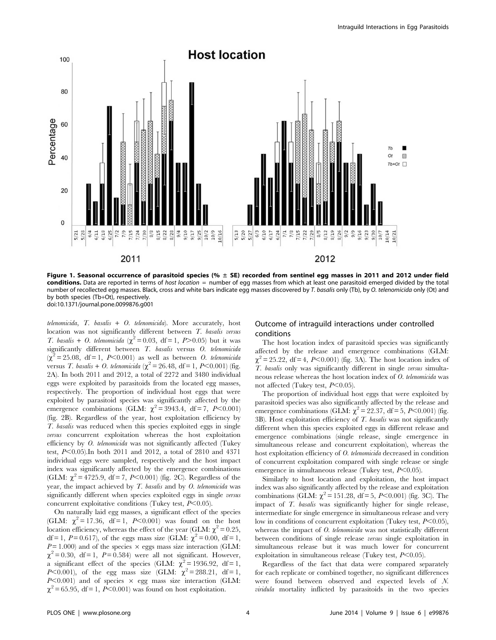

Figure 1. Seasonal occurrence of parasitoid species (%  $\pm$  SE) recorded from sentinel egg masses in 2011 and 2012 under field conditions. Data are reported in terms of host location = number of egg masses from which at least one parasitoid emerged divided by the total number of recollected egg masses. Black, cross and white bars indicate egg masses discovered by T. basalis only (Tb), by O. telenomicida only (Ot) and by both species (Tb+Ot), respectively. doi:10.1371/journal.pone.0099876.g001

telenomicida,  $T$ . basalis +  $O$ . telenomicida). More accurately, host location was not significantly different between T. basalis versus T. basalis + O. telenomicida ( $\chi^2 = 0.03$ , df = 1, P > 0.05) but it was significantly different between T. basalis versus O. telenomicida  $(\chi^2 = 25.08, df = 1, P<0.001)$  as well as between O. telenomicida versus T. basalis + O. telenomicida ( $\chi^2 = 26.48$ , df = 1, P<0.001) (fig. 2A). In both 2011 and 2012, a total of 2272 and 3480 individual eggs were exploited by parasitoids from the located egg masses, respectively. The proportion of individual host eggs that were exploited by parasitoid species was significantly affected by the emergence combinations (GLM:  $\chi^2$  = 3943.4, df = 7, P<0.001) (fig. 2B). Regardless of the year, host exploitation efficiency by T. basalis was reduced when this species exploited eggs in single versus concurrent exploitation whereas the host exploitation efficiency by O. telenomicida was not significantly affected (Tukey test,  $P<0.05$ ).In both 2011 and 2012, a total of 2810 and 4371 individual eggs were sampled, respectively and the host impact index was significantly affected by the emergence combinations (GLM:  $\chi^2$  = 4725.9, df = 7, P<0.001) (fig. 2C). Regardless of the year, the impact achieved by T. basalis and by O. telenomicida was significantly different when species exploited eggs in single versus concurrent exploitative conditions (Tukey test,  $P<0.05$ ).

On naturally laid egg masses, a significant effect of the species (GLM:  $\chi^2 = 17.36$ , df = 1, P<0.001) was found on the host location efficiency, whereas the effect of the year (GLM:  $\chi^2 = 0.25$ , df = 1, P = 0.617), of the eggs mass size (GLM:  $\chi^2$  = 0.00, df = 1,  $P = 1.000$ ) and of the species  $\times$  eggs mass size interaction (GLM:  $\chi^2$  = 0.30, df = 1, P = 0.584) were all not significant. However, a significant effect of the species (GLM:  $\chi^2 = 1936.92$ , df = 1, *P*<0.001), of the egg mass size (GLM:  $\chi^2 = 288.21$ , df = 1,  $P<0.001$ ) and of species  $\times$  egg mass size interaction (GLM:  $\chi^2$  = 65.95, df = 1, P<0.001) was found on host exploitation.

## Outcome of intraguild interactions under controlled conditions

The host location index of parasitoid species was significantly affected by the release and emergence combinations (GLM:  $\chi^2$  = 25.22, df = 4, P<0.001) (fig. 3A). The host location index of T. basalis only was significantly different in single versus simultaneous release whereas the host location index of O. telenomicida was not affected (Tukey test,  $P<0.05$ ).

The proportion of individual host eggs that were exploited by parasitoid species was also significantly affected by the release and emergence combinations (GLM:  $\chi^2$  = 22.37, df = 5, P<0.001) (fig. 3B). Host exploitation efficiency of  $T$ . basalis was not significantly different when this species exploited eggs in different release and emergence combinations (single release, single emergence in simultaneous release and concurrent exploitation), whereas the host exploitation efficiency of O. telenomicida decreased in condition of concurrent exploitation compared with single release or single emergence in simultaneous release (Tukey test,  $P<0.05$ ).

Similarly to host location and exploitation, the host impact index was also significantly affected by the release and exploitation combinations (GLM:  $\chi^2 = 151.28$ , df = 5, P<0.001) (fig. 3C). The impact of T. basalis was significantly higher for single release, intermediate for single emergence in simultaneous release and very low in conditions of concurrent exploitation (Tukey test,  $P<0.05$ ), whereas the impact of O. telenomicida was not statistically different between conditions of single release versus single exploitation in simultaneous release but it was much lower for concurrent exploitation in simultaneous release (Tukey test,  $P<0.05$ ).

Regardless of the fact that data were compared separately for each replicate or combined together, no significant differences were found between observed and expected levels of N. viridula mortality inflicted by parasitoids in the two species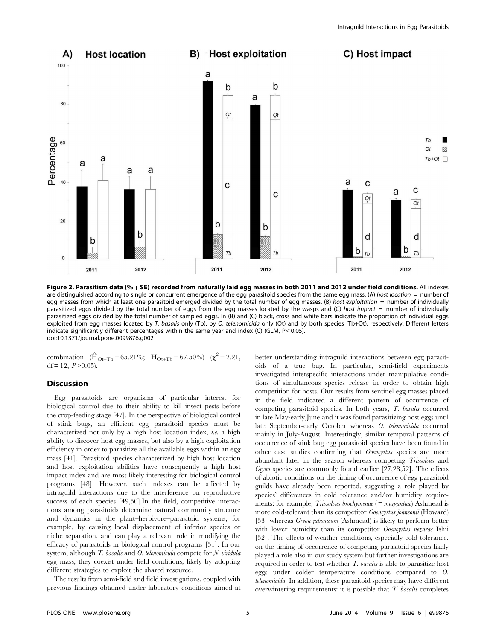

Figure 2. Parasitism data (% + SE) recorded from naturally laid egg masses in both 2011 and 2012 under field conditions. All indexes are distinguished according to single or concurrent emergence of the egg parasitoid species from the same egg mass. (A) host location = number of egg masses from which at least one parasitoid emerged divided by the total number of egg masses. (B) host exploitation = number of individually parasitized eggs divided by the total number of eggs from the egg masses located by the wasps and (C) host impact = number of individually parasitized eggs divided by the total number of sampled eggs. In (B) and (C) black, cross and white bars indicate the proportion of individual eggs exploited from egg masses located by T. basalis only (Tb), by O. telenomicida only (Ot) and by both species (Tb+Ot), respectively. Different letters indicate significantly different percentages within the same year and index (C) (GLM,  $P<0.05$ ). doi:10.1371/journal.pone.0099876.g002

combination  $(\hat{H}_{\text{Ot+Tb}} = 65.21\%; \ H_{\text{Ot+Tb}} = 67.50\% )$   $(\chi^2 = 2.21,$ df = 12,  $P > 0.05$ ).

## Discussion

Egg parasitoids are organisms of particular interest for biological control due to their ability to kill insect pests before the crop-feeding stage [47]. In the perspective of biological control of stink bugs, an efficient egg parasitoid species must be characterized not only by a high host location index, i.e. a high ability to discover host egg masses, but also by a high exploitation efficiency in order to parasitize all the available eggs within an egg mass [41]. Parasitoid species characterized by high host location and host exploitation abilities have consequently a high host impact index and are most likely interesting for biological control programs [48]. However, such indexes can be affected by intraguild interactions due to the interference on reproductive success of each species [49,50].In the field, competitive interactions among parasitoids determine natural community structure and dynamics in the plant–herbivore–parasitoid systems, for example, by causing local displacement of inferior species or niche separation, and can play a relevant role in modifying the efficacy of parasitoids in biological control programs [51]. In our system, although T. basalis and O. telenomicida compete for N. viridula egg mass, they coexist under field conditions, likely by adopting different strategies to exploit the shared resource.

The results from semi-field and field investigations, coupled with previous findings obtained under laboratory conditions aimed at better understanding intraguild interactions between egg parasitoids of a true bug. In particular, semi-field experiments investigated interspecific interactions under manipulative conditions of simultaneous species release in order to obtain high competition for hosts. Our results from sentinel egg masses placed in the field indicated a different pattern of occurrence of competing parasitoid species. In both years, T. basalis occurred in late May-early June and it was found parasitizing host eggs until late September-early October whereas O. telenomicida occurred mainly in July-August. Interestingly, similar temporal patterns of occurrence of stink bug egg parasitoid species have been found in other case studies confirming that Ooencyrtus species are more abundant later in the season whereas competing Trissolcus and Gryon species are commonly found earlier [27,28,52]. The effects of abiotic conditions on the timing of occurrence of egg parasitoid guilds have already been reported, suggesting a role played by species' differences in cold tolerance and/or humidity requirements: for example, *Trissolcus brochymenae* (= murgantiae) Ashmead is more cold-tolerant than its competitor Ooencyrtus johnsonii (Howard) [53] whereas *Gryon japonicum* (Ashmead) is likely to perform better with lower humidity than its competitor *Ooencyrtus nezarae* Ishii [52]. The effects of weather conditions, especially cold tolerance, on the timing of occurrence of competing parasitoid species likely played a role also in our study system but further investigations are required in order to test whether T. basalis is able to parasitize host eggs under colder temperature conditions compared to O. telenomicida. In addition, these parasitoid species may have different overwintering requirements: it is possible that  $T$ . basalis completes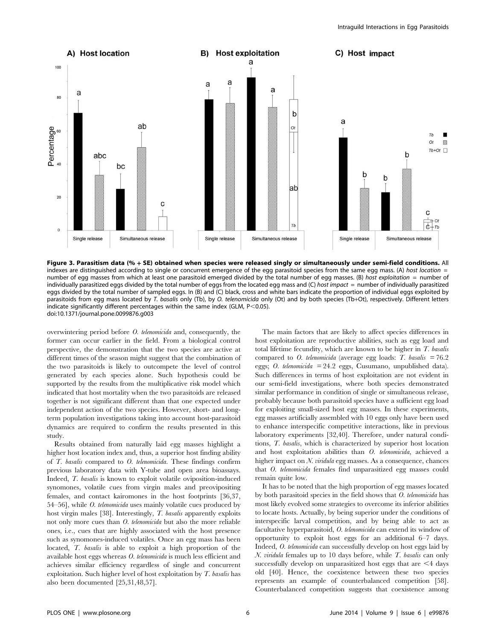

Figure 3. Parasitism data (% + SE) obtained when species were released singly or simultaneously under semi-field conditions. All indexes are distinguished according to single or concurrent emergence of the egg parasitoid species from the same egg mass. (A) host location = number of egg masses from which at least one parasitoid emerged divided by the total number of egg masses. (B) host exploitation = number of individually parasitized eggs divided by the total number of eggs from the located egg mass and (C) host impact = number of individually parasitized eggs divided by the total number of sampled eggs. In (B) and (C) black, cross and white bars indicate the proportion of individual eggs exploited by parasitoids from egg mass located by T. basalis only (Tb), by O. telenomicida only (Ot) and by both species (Tb+Ot), respectively. Different letters indicate significantly different percentages within the same index (GLM,  $P<0.05$ ). doi:10.1371/journal.pone.0099876.g003

overwintering period before O. telenomicida and, consequently, the former can occur earlier in the field. From a biological control perspective, the demonstration that the two species are active at different times of the season might suggest that the combination of the two parasitoids is likely to outcompete the level of control generated by each species alone. Such hypothesis could be supported by the results from the multiplicative risk model which indicated that host mortality when the two parasitoids are released together is not significant different than that one expected under independent action of the two species. However, short- and longterm population investigations taking into account host-parasitoid dynamics are required to confirm the results presented in this study.

Results obtained from naturally laid egg masses highlight a higher host location index and, thus, a superior host finding ability of T. basalis compared to O. telenomicida. These findings confirm previous laboratory data with Y-tube and open area bioassays. Indeed, T. basalis is known to exploit volatile oviposition-induced synomones, volatile cues from virgin males and preovipositing females, and contact kairomones in the host footprints [36,37, 54–56], while O. telenomicida uses mainly volatile cues produced by host virgin males [38]. Interestingly, T. basalis apparently exploits not only more cues than O. telenomicida but also the more reliable ones, i.e., cues that are highly associated with the host presence such as synomones-induced volatiles. Once an egg mass has been located, T. basalis is able to exploit a high proportion of the available host eggs whereas O. telenomicida is much less efficient and achieves similar efficiency regardless of single and concurrent exploitation. Such higher level of host exploitation by T. basalis has also been documented [25,31,48,57].

The main factors that are likely to affect species differences in host exploitation are reproductive abilities, such as egg load and total lifetime fecundity, which are known to be higher in  $T$ . basalis compared to *O. telenomicida* (average egg loads: T. basalis  $= 76.2$ ) eggs; O. telenomicida = 24.2 eggs, Cusumano, unpublished data). Such differences in terms of host exploitation are not evident in our semi-field investigations, where both species demonstrated similar performance in condition of single or simultaneous release, probably because both parasitoid species have a sufficient egg load for exploiting small-sized host egg masses. In these experiments, egg masses artificially assembled with 10 eggs only have been used to enhance interspecific competitive interactions, like in previous laboratory experiments [32,40]. Therefore, under natural conditions, T. basalis, which is characterized by superior host location and host exploitation abilities than O. telenomicida, achieved a higher impact on N. *viridula* egg masses. As a consequence, chances that O. telenomicida females find unparasitized egg masses could remain quite low.

It has to be noted that the high proportion of egg masses located by both parasitoid species in the field shows that O. telenomicida has most likely evolved some strategies to overcome its inferior abilities to locate hosts. Actually, by being superior under the conditions of interspecific larval competition, and by being able to act as facultative hyperparasitoid, O. telenomicida can extend its window of opportunity to exploit host eggs for an additional 6–7 days. Indeed, O. telenomicida can successfully develop on host eggs laid by N. viridula females up to 10 days before, while T. basalis can only successfully develop on unparasitized host eggs that are  $\leq 4$  days old [40]. Hence, the coexistence between these two species represents an example of counterbalanced competition [58]. Counterbalanced competition suggests that coexistence among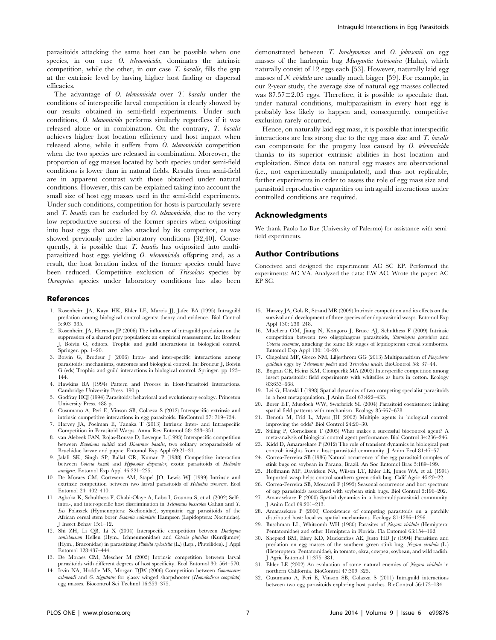parasitoids attacking the same host can be possible when one species, in our case O. telenomicida, dominates the intrinsic competition, while the other, in our case T. basalis, fills the gap at the extrinsic level by having higher host finding or dispersal efficacies.

The advantage of O. telenomicida over T. basalis under the conditions of interspecific larval competition is clearly showed by our results obtained in semi-field experiments. Under such conditions, O. telenomicida performs similarly regardless if it was released alone or in combination. On the contrary, T. basalis achieves higher host location efficiency and host impact when released alone, while it suffers from O. telenomicida competition when the two species are released in combination. Moreover, the proportion of egg masses located by both species under semi-field conditions is lower than in natural fields. Results from semi-field are in apparent contrast with those obtained under natural conditions. However, this can be explained taking into account the small size of host egg masses used in the semi-field experiments. Under such conditions, competition for hosts is particularly severe and  $T$ . basalis can be excluded by  $O$ . telenomicida, due to the very low reproductive success of the former species when ovipositing into host eggs that are also attacked by its competitor, as was showed previously under laboratory conditions [32,40]. Consequently, it is possible that T. basalis has oviposited into multiparasitized host eggs yielding O. telenomicida offspring and, as a result, the host location index of the former species could have been reduced. Competitive exclusion of Trissolcus species by Ooencyrtus species under laboratory conditions has also been

#### References

- 1. Rosenheim JA, Kaya HK, Ehler LE, Marois JJ, Jafee BA (1995) Intraguild predation among biological control agents: theory and evidence. Biol Control 5:303–335.
- 2. Rosenheim JA, Harmon JP (2006) The influence of intraguild predation on the suppression of a shared prey population: an empirical reassessment. In: Brodeur J, Boivin G, editors. Trophic and guild interactions in biological control. Springer. pp. 1–20.
- 3. Boivin G, Brodeur J (2006) Intra- and inter-specific interactions among parasitoids: mechanisms, outcomes and biological control. In: Brodeur J, Boivin G (eds) Trophic and guild interactions in biological control. Springer. pp 123– 144.
- 4. Hawkins BA (1994) Pattern and Process in Host-Parasitoid Interactions. Cambridge University Press. 190 p.
- 5. Godfray HCJ (1994) Parasitoids: behavioral and evolutionary ecology. Princeton University Press. 488 p.
- 6. Cusumano A, Peri E, Vinson SB, Colazza S (2012) Interspecific extrinsic and intrinsic competitive interactions in egg parasitoids. BioControl 57: 719–734.
- 7. Harvey JA, Poelman E, Tanaka T (2013) Intrinsic Inter- and Intraspecific Competition in Parasitoid Wasps. Annu Rev Entomol 58: 333–351.
- 8. van Alebeek FAN, Rojas-Rousse D, Leveque L (1993) Interspecific competition between Eupelmus vuilleti and Dinarmus basalis, two solitary ectoparasitoids of Bruchidae larvae and pupae. Entomol Exp Appl 69:21–31.
- 9. Jalali SK, Singh SP, Ballal CR, Kumar P (1988) Competitive interaction between Cotesia kazak and Hyposoter didymator, exotic parasitoids of Heliothis armigera. Entomol Exp Appl 46:221–225.
- 10. De Moraes CM, Cortesero AM, Stapel JO, Lewis WJ (1999) Intrinsic and extrinsic competition between two larval parasitoids of Heliothis virescens. Ecol Entomol 24: 402–410.
- 11. Agboka K, Schulthess F, Chabi-Olaye A, Labo I, Gounou S, et al. (2002) Self-, intra-, and inter-specific host discrimination in Telenomus busseolae Gahan and T. Isis Polaszek (Hymenoptera: Scelionidae), sympatric egg parasitoids of the African cereal stem borer Sesamia calamistis Hampson (Lepidoptera: Noctuidae). J Insect Behav 15:1–12.
- 12. Shi ZH, Li QB, Li X (2004) Interspecific competition between Diadegma semiclausum Hellen (Hym., Ichneumonidae) and Cotesia plutellae (Kurdjumov) (Hym., Braconidae) in parasitizing Plutella xylostella (L.) (Lep., Plutellidea). J Appl Entomol 128:437–444.
- 13. De Moraes CM, Mescher M (2005) Intrinsic competition between larval parasitoids with different degrees of host specificity. Ecol Entomol 30: 564–570.
- 14. Irvin NA, Hoddle MS, Morgan DJW (2006) Competition between Gonatocerus ashmeadi and G. triguttatus for glassy winged sharpshooter (Homalodisca coagulata) egg masses. Biocontrol Sci Technol 16:359–375.

demonstrated between T. brochymenae and O. johnsonii on egg masses of the harlequin bug Murgantia histrionica (Hahn), which naturally consist of 12 eggs each [53]. However, naturally laid egg masses of N. viridula are usually much bigger [59]. For example, in our 2-year study, the average size of natural egg masses collected was  $87.57 \pm 2.05$  eggs. Therefore, it is possible to speculate that, under natural conditions, multiparasitism in every host egg is probably less likely to happen and, consequently, competitive exclusion rarely occurred.

Hence, on naturally laid egg mass, it is possible that interspecific interactions are less strong due to the egg mass size and  $T$ . basalis can compensate for the progeny loss caused by O. telenomicida thanks to its superior extrinsic abilities in host location and exploitation. Since data on natural egg masses are observational (i.e., not experimentally manipulated), and thus not replicable, further experiments in order to assess the role of egg mass size and parasitoid reproductive capacities on intraguild interactions under controlled conditions are required.

## Acknowledgments

We thank Paolo Lo Bue (University of Palermo) for assistance with semifield experiments.

#### Author Contributions

Conceived and designed the experiments: AC SC EP. Performed the experiments: AC VA. Analyzed the data: EW AC. Wrote the paper: AC EP SC.

- 15. Harvey JA, Gols R, Strand MR (2009) Intrinsic competition and its effects on the survival and development of three species of endoparasitoid wasps. Entomol Exp Appl 130: 238–248.
- 16. Mucheru OM, Jiang N, Kongoro J, Bruce AJ, Schulthess F (2009) Intrinsic competition between two oligophagous parasitoids, Sturmiopsis parasitica and Cotesia sesamiae, attacking the same life stages of lepidopteran cereal stemborers. Entomol Exp Appl 130: 10–20.
- 17. Cingolani MF, Greco NM, Liljesthröm GG (2013) Multiparasitism of Piezodorus guildinii eggs by Telenomus podisi and Trissolcus urichi. BioControl 58: 37–44.
- 18. Bogran CE, Heinz KM, Ciomperlik MA (2002) Interspecific competition among insect parasitoids: field experiments with whiteflies as hosts in cotton. Ecology 83:653–668.
- 19. Lei G, Hanski I (1998) Spatial dynamics of two competing specialist parasitoids in a host metapopulation. J Anim Ecol 67:422–433.
- 20. Borer ET, Murdoch WW, Swarbrick SL (2004) Parasitoid coexistence: linking spatial field patterns with mechanism. Ecology 85:667–678.
- 21. Denoth M, Frid L, Myers JH (2002) Multiple agents in biological control: improving the odds? Biol Control 24:20–30.
- 22. Stiling P, Cornelissen T (2005) What makes a successful biocontrol agent? A meta-analysis of biological control agent performance. Biol Control 34:236–246.
- 23. Kidd D, Amarasekare P (2012) The role of transient dynamics in biological pest control: insights from a host–parasitoid community. J Anim Ecol 81:47–57.
- 24. Correa-Ferreira SB (1986) Natural occurrence of the egg parasitoid complex of stink bugs on soybean in Parana, Brazil. An Soc Entomol Bras 5:189–199.
- 25. Hoffmann MP, Davidson NA, Wilson LT, Ehler LE, Jones WA, et al. (1991) Imported wasp helps control southern green stink bug. Calif Agric 45:20–22.
- 26. Correa-Ferreira SB, Moscardi F (1995) Seasonal occurrence and host spectrum of egg parasitoids associated with soybean stink bugs. Biol Control 5:196–202.
- 27. Amarasekare P (2000) Spatial dynamics in a host-multiparasitoid community. J Anim Ecol 69:201–213.
- 28. Amarasekare P (2000) Coexistence of competing parasitoids on a patchily distributed host: local vs. spatial mechanisms. Ecology 81:1286–1296.
- 29. Buschman LL, Whitcomb WH (1980) Parasites of Nezara viridula (Hemiptera: Pentatomidae) and other Hemiptera in Florida. Fla Entomol 63:154–162.
- 30. Shepard BM, Elsey KD, Muckenfuss AE, Justo HD Jr (1994) Parasitism and predation on egg masses of the southern green stink bug, Nezara viridula (L.) (Heteroptera: Pentatomidae), in tomato, okra, cowpea, soybean, and wild radish. J Agric Entomol 11:375–381.
- 31. Ehler LE (2002) An evaluation of some natural enemies of Nezara viridula in northern California. BioControl 47:309–325.
- 32. Cusumano A, Peri E, Vinson SB, Colazza S (2011) Intraguild interactions between two egg parasitoids exploring host patches. BioControl 56:173–184.